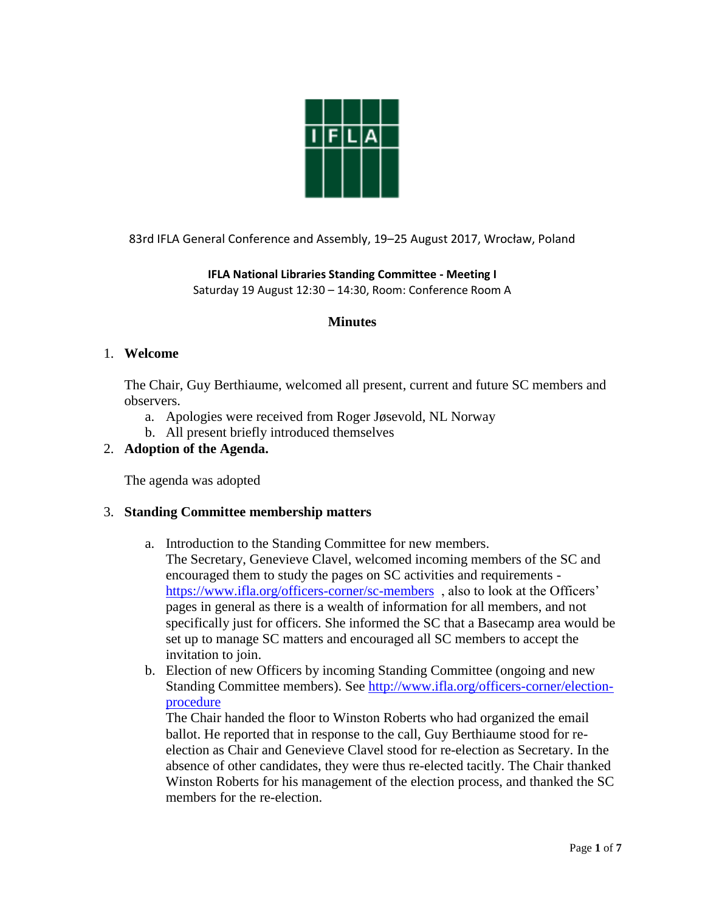

83rd IFLA General Conference and Assembly, 19–25 August 2017, Wrocław, Poland

**IFLA National Libraries Standing Committee - Meeting I** Saturday 19 August 12:30 – 14:30, Room: Conference Room A

# **Minutes**

### 1. **Welcome**

The Chair, Guy Berthiaume, welcomed all present, current and future SC members and observers.

- a. Apologies were received from Roger Jøsevold, NL Norway
- b. All present briefly introduced themselves

# 2. **Adoption of the Agenda.**

The agenda was adopted

# 3. **Standing Committee membership matters**

- a. Introduction to the Standing Committee for new members. The Secretary, Genevieve Clavel, welcomed incoming members of the SC and encouraged them to study the pages on SC activities and requirements https://www.ifla.org/officers-corner/sc-members, also to look at the Officers' pages in general as there is a wealth of information for all members, and not specifically just for officers. She informed the SC that a Basecamp area would be set up to manage SC matters and encouraged all SC members to accept the invitation to join.
- b. Election of new Officers by incoming Standing Committee (ongoing and new Standing Committee members). See [http://www.ifla.org/officers-corner/election](http://www.ifla.org/officers-corner/election-procedure)[procedure](http://www.ifla.org/officers-corner/election-procedure)

The Chair handed the floor to Winston Roberts who had organized the email ballot. He reported that in response to the call, Guy Berthiaume stood for reelection as Chair and Genevieve Clavel stood for re-election as Secretary. In the absence of other candidates, they were thus re-elected tacitly. The Chair thanked Winston Roberts for his management of the election process, and thanked the SC members for the re-election.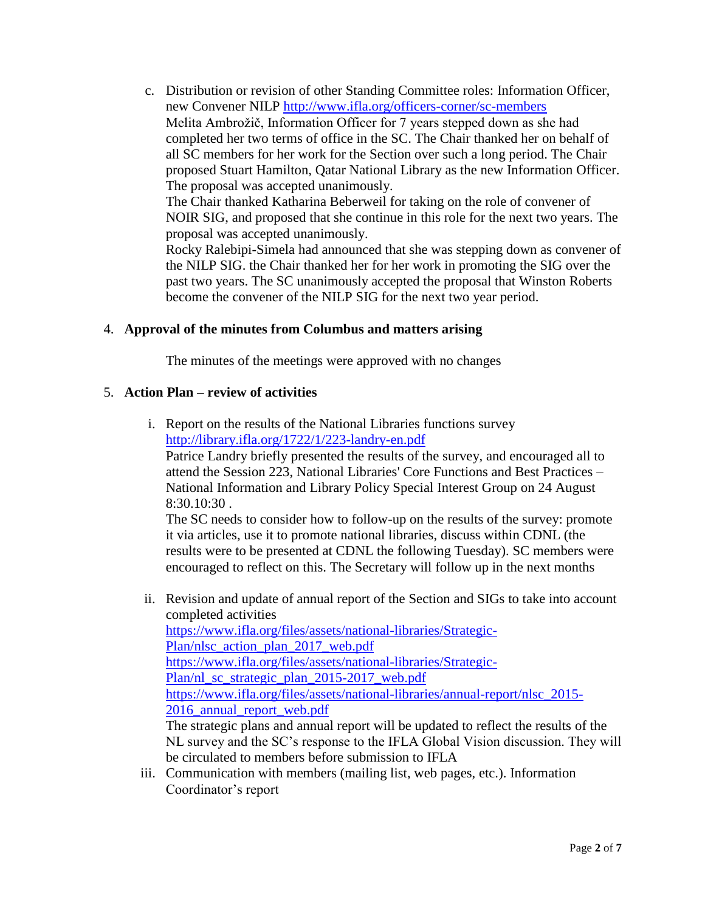c. Distribution or revision of other Standing Committee roles: Information Officer, new Convener NILP<http://www.ifla.org/officers-corner/sc-members> Melita Ambrožič, Information Officer for 7 years stepped down as she had completed her two terms of office in the SC. The Chair thanked her on behalf of all SC members for her work for the Section over such a long period. The Chair proposed Stuart Hamilton, Qatar National Library as the new Information Officer. The proposal was accepted unanimously. The Chair thanked Katharina Beberweil for taking on the role of convener of NOIR SIG, and proposed that she continue in this role for the next two years. The proposal was accepted unanimously.

Rocky Ralebipi-Simela had announced that she was stepping down as convener of the NILP SIG. the Chair thanked her for her work in promoting the SIG over the past two years. The SC unanimously accepted the proposal that Winston Roberts become the convener of the NILP SIG for the next two year period.

# 4. **Approval of the minutes from Columbus and matters arising**

The minutes of the meetings were approved with no changes

# 5. **Action Plan – review of activities**

i. Report on the results of the National Libraries functions survey <http://library.ifla.org/1722/1/223-landry-en.pdf>

Patrice Landry briefly presented the results of the survey, and encouraged all to attend the Session 223, National Libraries' Core Functions and Best Practices – National Information and Library Policy Special Interest Group on 24 August 8:30.10:30 .

The SC needs to consider how to follow-up on the results of the survey: promote it via articles, use it to promote national libraries, discuss within CDNL (the results were to be presented at CDNL the following Tuesday). SC members were encouraged to reflect on this. The Secretary will follow up in the next months

- ii. Revision and update of annual report of the Section and SIGs to take into account completed activities [https://www.ifla.org/files/assets/national-libraries/Strategic-](https://www.ifla.org/files/assets/national-libraries/Strategic-Plan/nlsc_action_plan_2017_web.pdf)[Plan/nlsc\\_action\\_plan\\_2017\\_web.pdf](https://www.ifla.org/files/assets/national-libraries/Strategic-Plan/nlsc_action_plan_2017_web.pdf) [https://www.ifla.org/files/assets/national-libraries/Strategic-](https://www.ifla.org/files/assets/national-libraries/Strategic-Plan/nl_sc_strategic_plan_2015-2017_web.pdf)[Plan/nl\\_sc\\_strategic\\_plan\\_2015-2017\\_web.pdf](https://www.ifla.org/files/assets/national-libraries/Strategic-Plan/nl_sc_strategic_plan_2015-2017_web.pdf) [https://www.ifla.org/files/assets/national-libraries/annual-report/nlsc\\_2015-](https://www.ifla.org/files/assets/national-libraries/annual-report/nlsc_2015-2016_annual_report_web.pdf) [2016\\_annual\\_report\\_web.pdf](https://www.ifla.org/files/assets/national-libraries/annual-report/nlsc_2015-2016_annual_report_web.pdf) The strategic plans and annual report will be updated to reflect the results of the NL survey and the SC's response to the IFLA Global Vision discussion. They will be circulated to members before submission to IFLA
- iii. Communication with members (mailing list, web pages, etc.). Information Coordinator's report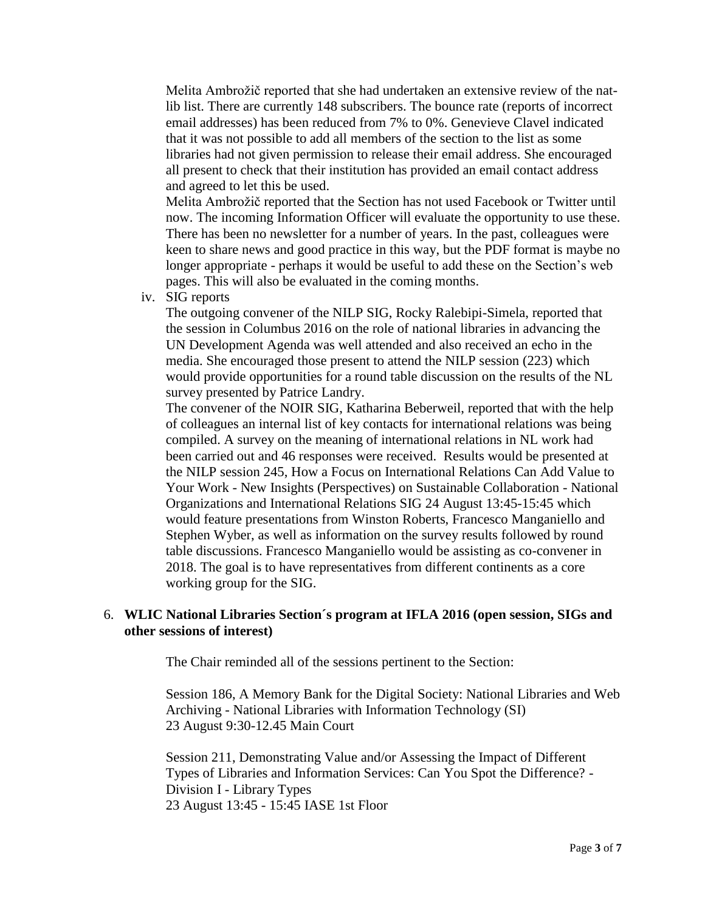Melita Ambrožič reported that she had undertaken an extensive review of the natlib list. There are currently 148 subscribers. The bounce rate (reports of incorrect email addresses) has been reduced from 7% to 0%. Genevieve Clavel indicated that it was not possible to add all members of the section to the list as some libraries had not given permission to release their email address. She encouraged all present to check that their institution has provided an email contact address and agreed to let this be used.

Melita Ambrožič reported that the Section has not used Facebook or Twitter until now. The incoming Information Officer will evaluate the opportunity to use these. There has been no newsletter for a number of years. In the past, colleagues were keen to share news and good practice in this way, but the PDF format is maybe no longer appropriate - perhaps it would be useful to add these on the Section's web pages. This will also be evaluated in the coming months.

iv. SIG reports

The outgoing convener of the NILP SIG, Rocky Ralebipi-Simela, reported that the session in Columbus 2016 on the role of national libraries in advancing the UN Development Agenda was well attended and also received an echo in the media. She encouraged those present to attend the NILP session (223) which would provide opportunities for a round table discussion on the results of the NL survey presented by Patrice Landry.

The convener of the NOIR SIG, Katharina Beberweil, reported that with the help of colleagues an internal list of key contacts for international relations was being compiled. A survey on the meaning of international relations in NL work had been carried out and 46 responses were received. Results would be presented at the NILP session 245, How a Focus on International Relations Can Add Value to Your Work - New Insights (Perspectives) on Sustainable Collaboration - National Organizations and International Relations SIG 24 August 13:45-15:45 which would feature presentations from Winston Roberts, Francesco Manganiello and Stephen Wyber, as well as information on the survey results followed by round table discussions. Francesco Manganiello would be assisting as co-convener in 2018. The goal is to have representatives from different continents as a core working group for the SIG.

### 6. **WLIC National Libraries Section´s program at IFLA 2016 (open session, SIGs and other sessions of interest)**

The Chair reminded all of the sessions pertinent to the Section:

Session 186, A Memory Bank for the Digital Society: National Libraries and Web Archiving - National Libraries with Information Technology (SI) 23 August 9:30-12.45 Main Court

Session 211, Demonstrating Value and/or Assessing the Impact of Different Types of Libraries and Information Services: Can You Spot the Difference? - Division I - Library Types 23 August 13:45 - 15:45 IASE 1st Floor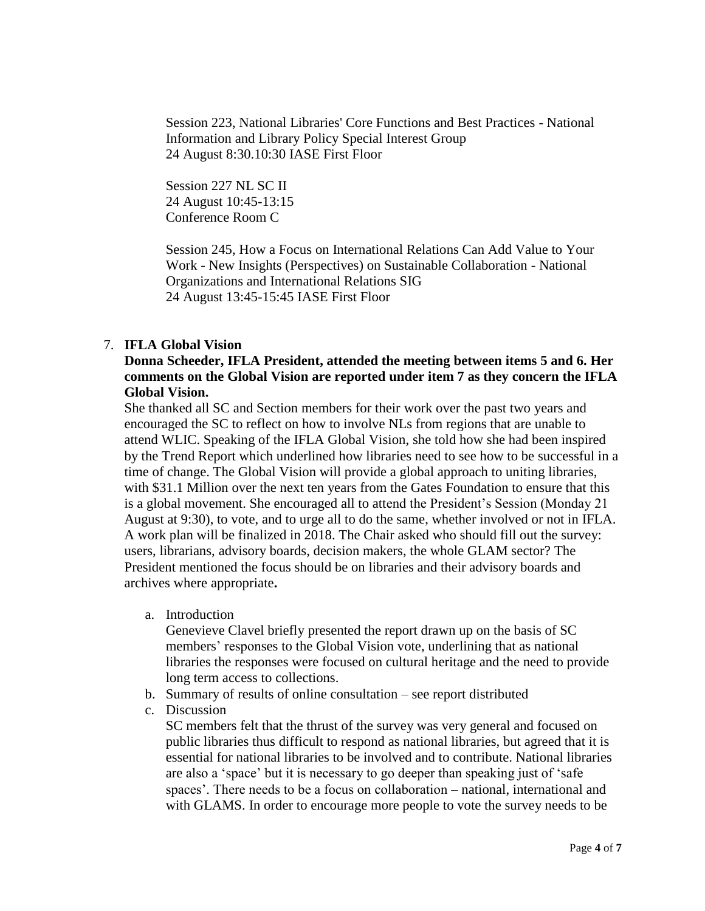Session 223, National Libraries' Core Functions and Best Practices - National Information and Library Policy Special Interest Group 24 August 8:30.10:30 IASE First Floor

Session 227 NL SC II 24 August 10:45-13:15 Conference Room C

Session 245, How a Focus on International Relations Can Add Value to Your Work - New Insights (Perspectives) on Sustainable Collaboration - National Organizations and International Relations SIG 24 August 13:45-15:45 IASE First Floor

# 7. **IFLA Global Vision**

# **Donna Scheeder, IFLA President, attended the meeting between items 5 and 6. Her comments on the Global Vision are reported under item 7 as they concern the IFLA Global Vision.**

She thanked all SC and Section members for their work over the past two years and encouraged the SC to reflect on how to involve NLs from regions that are unable to attend WLIC. Speaking of the IFLA Global Vision, she told how she had been inspired by the Trend Report which underlined how libraries need to see how to be successful in a time of change. The Global Vision will provide a global approach to uniting libraries, with \$31.1 Million over the next ten years from the Gates Foundation to ensure that this is a global movement. She encouraged all to attend the President's Session (Monday 21 August at 9:30), to vote, and to urge all to do the same, whether involved or not in IFLA. A work plan will be finalized in 2018. The Chair asked who should fill out the survey: users, librarians, advisory boards, decision makers, the whole GLAM sector? The President mentioned the focus should be on libraries and their advisory boards and archives where appropriate**.**

a. Introduction

Genevieve Clavel briefly presented the report drawn up on the basis of SC members' responses to the Global Vision vote, underlining that as national libraries the responses were focused on cultural heritage and the need to provide long term access to collections.

- b. Summary of results of online consultation see report distributed
- c. Discussion

SC members felt that the thrust of the survey was very general and focused on public libraries thus difficult to respond as national libraries, but agreed that it is essential for national libraries to be involved and to contribute. National libraries are also a 'space' but it is necessary to go deeper than speaking just of 'safe spaces'. There needs to be a focus on collaboration – national, international and with GLAMS. In order to encourage more people to vote the survey needs to be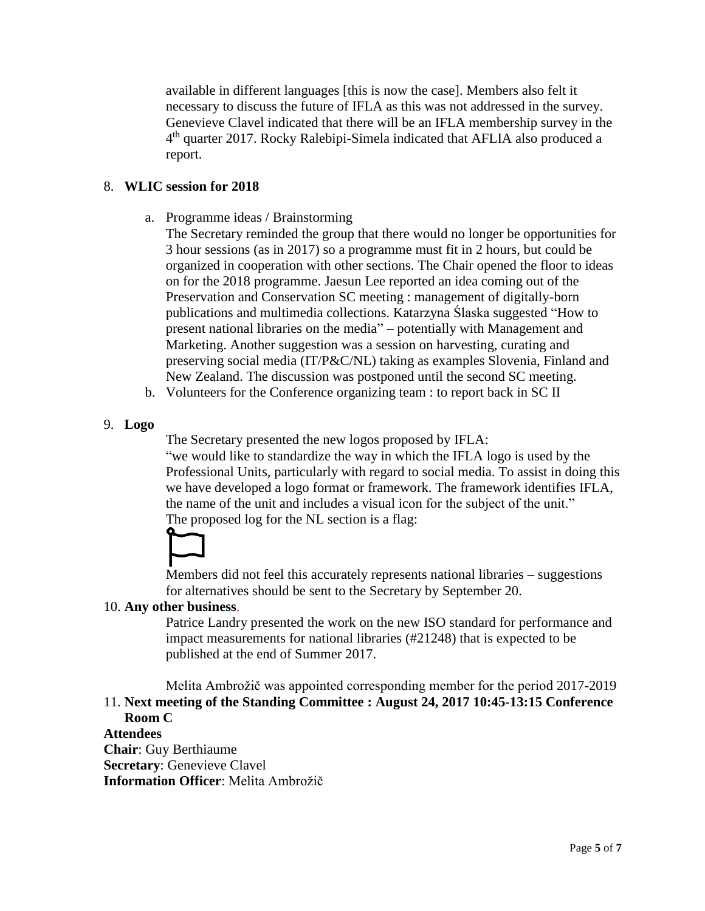available in different languages [this is now the case]. Members also felt it necessary to discuss the future of IFLA as this was not addressed in the survey. Genevieve Clavel indicated that there will be an IFLA membership survey in the 4<sup>th</sup> quarter 2017. Rocky Ralebipi-Simela indicated that AFLIA also produced a report.

# 8. **WLIC session for 2018**

a. Programme ideas / Brainstorming

The Secretary reminded the group that there would no longer be opportunities for 3 hour sessions (as in 2017) so a programme must fit in 2 hours, but could be organized in cooperation with other sections. The Chair opened the floor to ideas on for the 2018 programme. Jaesun Lee reported an idea coming out of the Preservation and Conservation SC meeting : management of digitally-born publications and multimedia collections. Katarzyna Ślaska suggested "How to present national libraries on the media" – potentially with Management and Marketing. Another suggestion was a session on harvesting, curating and preserving social media (IT/P&C/NL) taking as examples Slovenia, Finland and New Zealand. The discussion was postponed until the second SC meeting.

- b. Volunteers for the Conference organizing team : to report back in SC II
- 9. **Logo**

The Secretary presented the new logos proposed by IFLA:

"we would like to standardize the way in which the IFLA logo is used by the Professional Units, particularly with regard to social media. To assist in doing this we have developed a logo format or framework. The framework identifies IFLA, the name of the unit and includes a visual icon for the subject of the unit." The proposed log for the NL section is a flag:



Members did not feel this accurately represents national libraries – suggestions for alternatives should be sent to the Secretary by September 20.

# 10. **Any other business**.

Patrice Landry presented the work on the new ISO standard for performance and impact measurements for national libraries (#21248) that is expected to be published at the end of Summer 2017.

Melita Ambrožič was appointed corresponding member for the period 2017-2019 11. **Next meeting of the Standing Committee : August 24, 2017 10:45-13:15 Conference Room C** 

# **Attendees**

**Chair**: Guy Berthiaume **Secretary**: Genevieve Clavel **Information Officer**: Melita Ambrožič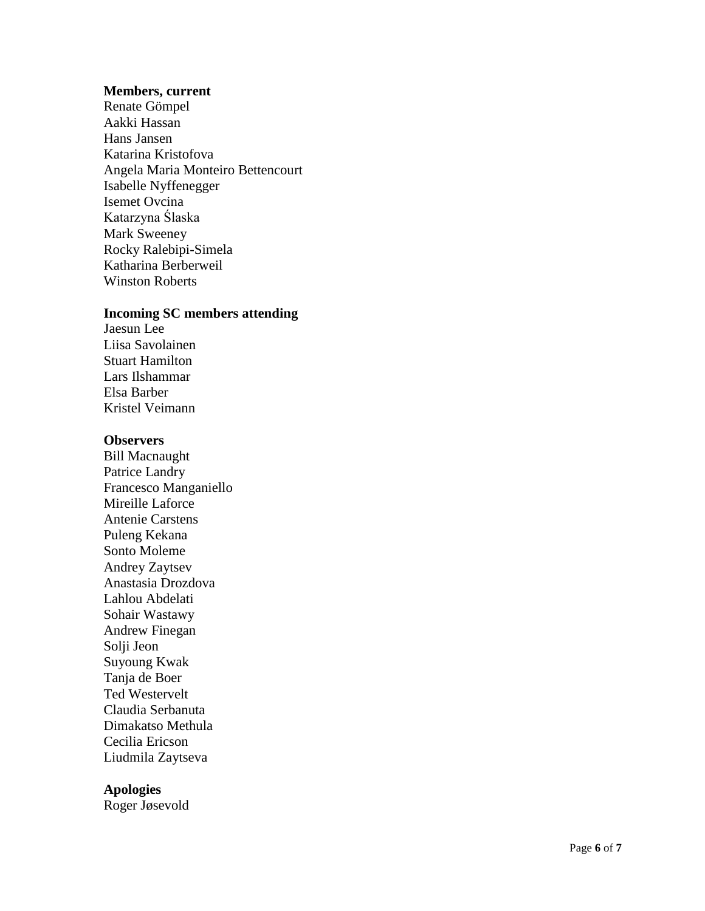#### **Members, current**

Renate Gömpel Aakki Hassan Hans Jansen Katarina Kristofova Angela Maria Monteiro Bettencourt Isabelle Nyffenegger Isemet Ovcina Katarzyna Ślaska Mark Sweeney Rocky Ralebipi -Simela Katharina Berberweil Winston Roberts

#### **Incoming SC members attending**

Jaesun Lee Liisa Savolainen Stuart Hamilton Lars Ilshammar Elsa Barber Kristel Veimann

#### **Observers**

Bill M a c naught Patrice Landry Francesco Manganiello Mireille Laforce Antenie Carstens Puleng Kekana Sonto Moleme Andrey Zaytsev Anastasia Drozdova Lahlou Abdelati Sohair Wastawy Andrew Finegan Solji Jeon Suyoung Kwa k Tanja de Boer Ted Westervelt Claudia Serbanuta Dimakatso Methula Cecilia Ericson Liudmila Zaytseva

#### **Apologies**

Roger Jøsevold